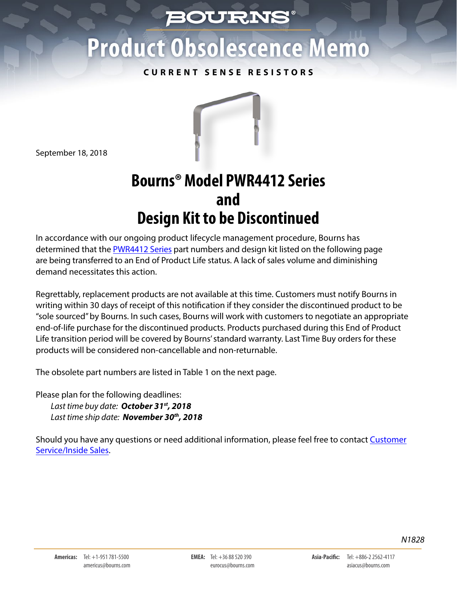## **BOURNS**

# **Product Obsolescence Memo**

#### **CURRENT SENSE RESISTORS**



September 18, 2018

## **Bourns® Model PWR4412 Series and Design Kit to be Discontinued**

In accordance with our ongoing product lifecycle management procedure, Bourns has determined that the [PWR4412 Series](https://www.bourns.com/docs/product-datasheets/pwr4412-2s.pdf) part numbers and design kit listed on the following page are being transferred to an End of Product Life status. A lack of sales volume and diminishing demand necessitates this action.

Regrettably, replacement products are not available at this time. Customers must notify Bourns in writing within 30 days of receipt of this notification if they consider the discontinued product to be "sole sourced" by Bourns. In such cases, Bourns will work with customers to negotiate an appropriate end-of-life purchase for the discontinued products. Products purchased during this End of Product Life transition period will be covered by Bourns' standard warranty. Last Time Buy orders for these products will be considered non-cancellable and non-returnable.

The obsolete part numbers are listed in Table 1 on the next page.

Please plan for the following deadlines: *Last time buy date: October 31st, 2018 Last time ship date: November 30th, 2018*

[Should you have any questions or need additional information, please feel free to contact Customer](https://www.bourns.com/support/contact) Service/Inside Sales.

*N1828*